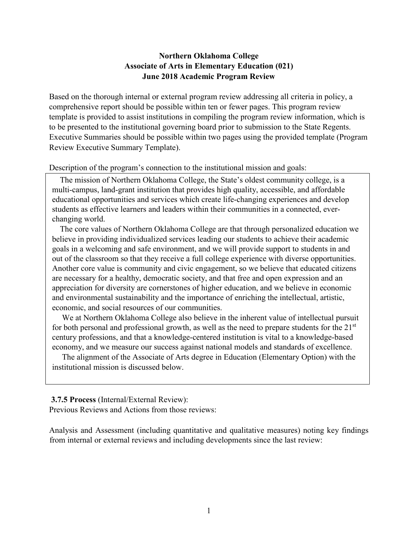### **Northern Oklahoma College Associate of Arts in Elementary Education (021) June 2018 Academic Program Review**

Based on the thorough internal or external program review addressing all criteria in policy, a comprehensive report should be possible within ten or fewer pages. This program review template is provided to assist institutions in compiling the program review information, which is to be presented to the institutional governing board prior to submission to the State Regents. Executive Summaries should be possible within two pages using the provided template (Program Review Executive Summary Template).

Description of the program's connection to the institutional mission and goals:

 The mission of Northern Oklahoma College, the State's oldest community college, is a multi-campus, land-grant institution that provides high quality, accessible, and affordable educational opportunities and services which create life-changing experiences and develop students as effective learners and leaders within their communities in a connected, everchanging world.

 The core values of Northern Oklahoma College are that through personalized education we believe in providing individualized services leading our students to achieve their academic goals in a welcoming and safe environment, and we will provide support to students in and out of the classroom so that they receive a full college experience with diverse opportunities. Another core value is community and civic engagement, so we believe that educated citizens are necessary for a healthy, democratic society, and that free and open expression and an appreciation for diversity are cornerstones of higher education, and we believe in economic and environmental sustainability and the importance of enriching the intellectual, artistic, economic, and social resources of our communities.

 We at Northern Oklahoma College also believe in the inherent value of intellectual pursuit for both personal and professional growth, as well as the need to prepare students for the 21<sup>st</sup> century professions, and that a knowledge-centered institution is vital to a knowledge-based economy, and we measure our success against national models and standards of excellence.

 The alignment of the Associate of Arts degree in Education (Elementary Option) with the institutional mission is discussed below.

#### **3.7.5 Process** (Internal/External Review):

Previous Reviews and Actions from those reviews:

Analysis and Assessment (including quantitative and qualitative measures) noting key findings from internal or external reviews and including developments since the last review: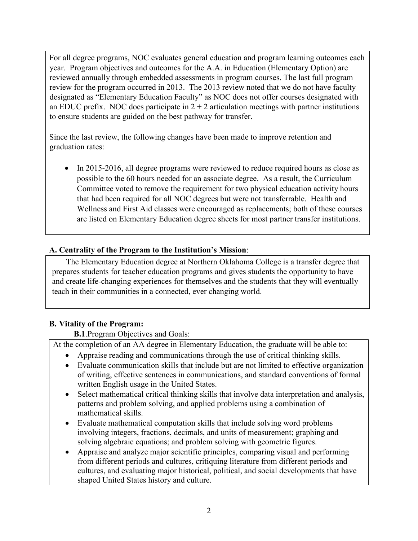For all degree programs, NOC evaluates general education and program learning outcomes each year. Program objectives and outcomes for the A.A. in Education (Elementary Option) are reviewed annually through embedded assessments in program courses. The last full program review for the program occurred in 2013. The 2013 review noted that we do not have faculty designated as "Elementary Education Faculty" as NOC does not offer courses designated with an EDUC prefix. NOC does participate in  $2 + 2$  articulation meetings with partner institutions to ensure students are guided on the best pathway for transfer.

Since the last review, the following changes have been made to improve retention and graduation rates:

• In 2015-2016, all degree programs were reviewed to reduce required hours as close as possible to the 60 hours needed for an associate degree. As a result, the Curriculum Committee voted to remove the requirement for two physical education activity hours that had been required for all NOC degrees but were not transferrable. Health and Wellness and First Aid classes were encouraged as replacements; both of these courses are listed on Elementary Education degree sheets for most partner transfer institutions.

# **A. Centrality of the Program to the Institution's Mission**:

 The Elementary Education degree at Northern Oklahoma College is a transfer degree that prepares students for teacher education programs and gives students the opportunity to have and create life-changing experiences for themselves and the students that they will eventually teach in their communities in a connected, ever changing world.

# **B. Vitality of the Program:**

**B.1**.Program Objectives and Goals:

At the completion of an AA degree in Elementary Education, the graduate will be able to:

- Appraise reading and communications through the use of critical thinking skills.
- Evaluate communication skills that include but are not limited to effective organization of writing, effective sentences in communications, and standard conventions of formal written English usage in the United States.
- Select mathematical critical thinking skills that involve data interpretation and analysis, patterns and problem solving, and applied problems using a combination of mathematical skills.
- Evaluate mathematical computation skills that include solving word problems involving integers, fractions, decimals, and units of measurement; graphing and solving algebraic equations; and problem solving with geometric figures.
- Appraise and analyze major scientific principles, comparing visual and performing from different periods and cultures, critiquing literature from different periods and cultures, and evaluating major historical, political, and social developments that have shaped United States history and culture.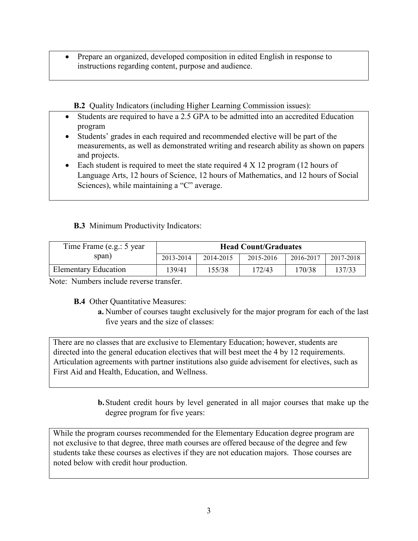• Prepare an organized, developed composition in edited English in response to instructions regarding content, purpose and audience.

**B.2** Quality Indicators (including Higher Learning Commission issues):

- Students are required to have a 2.5 GPA to be admitted into an accredited Education program
- Students' grades in each required and recommended elective will be part of the measurements, as well as demonstrated writing and research ability as shown on papers and projects.
- Each student is required to meet the state required  $4 \times 12$  program (12 hours of Language Arts, 12 hours of Science, 12 hours of Mathematics, and 12 hours of Social Sciences), while maintaining a "C" average.

## **B.3** Minimum Productivity Indicators:

| Time Frame (e.g.: 5 year)   | <b>Head Count/Graduates</b> |           |           |           |           |  |
|-----------------------------|-----------------------------|-----------|-----------|-----------|-----------|--|
| span)                       | 2013-2014                   | 2014-2015 | 2015-2016 | 2016-2017 | 2017-2018 |  |
| <b>Elementary Education</b> | 139/41                      | 155/38    | 172/43    | 170/38    | 137/33    |  |

Note: Numbers include reverse transfer.

**B.4** Other Quantitative Measures:

**a.** Number of courses taught exclusively for the major program for each of the last five years and the size of classes:

There are no classes that are exclusive to Elementary Education; however, students are directed into the general education electives that will best meet the 4 by 12 requirements. Articulation agreements with partner institutions also guide advisement for electives, such as First Aid and Health, Education, and Wellness.

> **b.**Student credit hours by level generated in all major courses that make up the degree program for five years:

While the program courses recommended for the Elementary Education degree program are not exclusive to that degree, three math courses are offered because of the degree and few students take these courses as electives if they are not education majors. Those courses are noted below with credit hour production.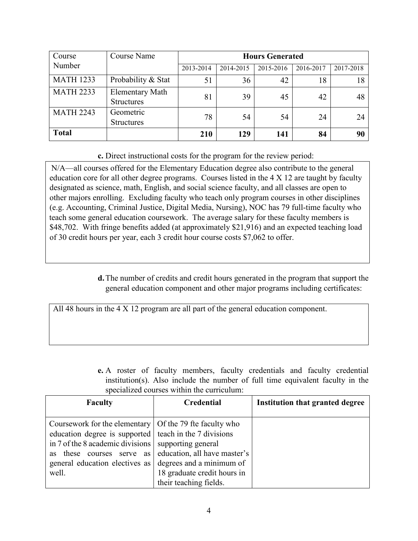| Course           | Course Name                                 | <b>Hours Generated</b> |           |           |           |           |
|------------------|---------------------------------------------|------------------------|-----------|-----------|-----------|-----------|
| Number           |                                             | 2013-2014              | 2014-2015 | 2015-2016 | 2016-2017 | 2017-2018 |
| <b>MATH 1233</b> | Probability & Stat                          | 51                     | 36        | 42        | 18        | 18        |
| <b>MATH 2233</b> | <b>Elementary Math</b><br><b>Structures</b> | 81                     | 39        | 45        | 42        | 48        |
| <b>MATH 2243</b> | Geometric<br><b>Structures</b>              | 78                     | 54        | 54        | 24        | 24        |
| <b>Total</b>     |                                             | 210                    | 129       | 141       | 84        | 90        |

## **c.** Direct instructional costs for the program for the review period:

N/A—all courses offered for the Elementary Education degree also contribute to the general education core for all other degree programs. Courses listed in the 4 X 12 are taught by faculty designated as science, math, English, and social science faculty, and all classes are open to other majors enrolling. Excluding faculty who teach only program courses in other disciplines (e.g. Accounting, Criminal Justice, Digital Media, Nursing), NOC has 79 full-time faculty who teach some general education coursework. The average salary for these faculty members is \$48,702. With fringe benefits added (at approximately \$21,916) and an expected teaching load of 30 credit hours per year, each 3 credit hour course costs \$7,062 to offer.

> **d.**The number of credits and credit hours generated in the program that support the general education component and other major programs including certificates:

All 48 hours in the 4 X 12 program are all part of the general education component.

|  |  |                                            | <b>e.</b> A roster of faculty members, faculty credentials and faculty credential |  |  |
|--|--|--------------------------------------------|-----------------------------------------------------------------------------------|--|--|
|  |  |                                            | institution(s). Also include the number of full time equivalent faculty in the    |  |  |
|  |  | specialized courses within the curriculum: |                                                                                   |  |  |

| <b>Faculty</b>                                                                                                                                                                                                                                                                   | Credential                                                                                                  | <b>Institution that granted degree</b> |
|----------------------------------------------------------------------------------------------------------------------------------------------------------------------------------------------------------------------------------------------------------------------------------|-------------------------------------------------------------------------------------------------------------|----------------------------------------|
| Coursework for the elementary   Of the 79 fte faculty who<br>education degree is supported teach in the 7 divisions<br>in 7 of the 8 academic divisions $\vert$<br>courses serve<br>these<br>as<br><b>as</b><br>general education electives as degrees and a minimum of<br>well. | supporting general<br>education, all have master's<br>18 graduate credit hours in<br>their teaching fields. |                                        |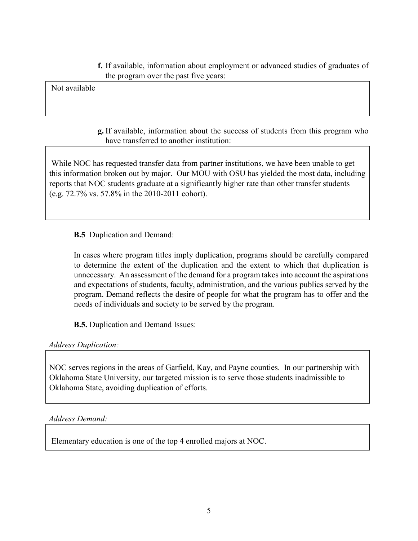**f.** If available, information about employment or advanced studies of graduates of the program over the past five years:

Not available

### **g.** If available, information about the success of students from this program who have transferred to another institution:

While NOC has requested transfer data from partner institutions, we have been unable to get this information broken out by major. Our MOU with OSU has yielded the most data, including reports that NOC students graduate at a significantly higher rate than other transfer students (e.g. 72.7% vs. 57.8% in the 2010-2011 cohort).

**B.5** Duplication and Demand:

In cases where program titles imply duplication, programs should be carefully compared to determine the extent of the duplication and the extent to which that duplication is unnecessary. An assessment of the demand for a program takes into account the aspirations and expectations of students, faculty, administration, and the various publics served by the program. Demand reflects the desire of people for what the program has to offer and the needs of individuals and society to be served by the program.

**B.5.** Duplication and Demand Issues:

*Address Duplication:* 

NOC serves regions in the areas of Garfield, Kay, and Payne counties. In our partnership with Oklahoma State University, our targeted mission is to serve those students inadmissible to Oklahoma State, avoiding duplication of efforts.

*Address Demand:*

Elementary education is one of the top 4 enrolled majors at NOC.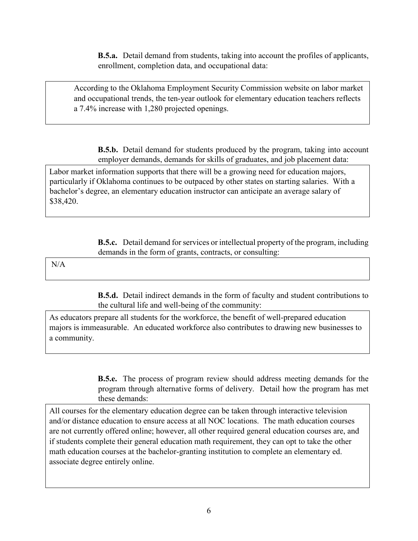**B.5.a.** Detail demand from students, taking into account the profiles of applicants, enrollment, completion data, and occupational data:

According to the Oklahoma Employment Security Commission website on labor market and occupational trends, the ten-year outlook for elementary education teachers reflects a 7.4% increase with 1,280 projected openings.

**B.5.b.** Detail demand for students produced by the program, taking into account employer demands, demands for skills of graduates, and job placement data:

Labor market information supports that there will be a growing need for education majors, particularly if Oklahoma continues to be outpaced by other states on starting salaries. With a bachelor's degree, an elementary education instructor can anticipate an average salary of \$38,420.

> **B.5.c.** Detail demand for services or intellectual property of the program, including demands in the form of grants, contracts, or consulting:

N/A

**B.5.d.** Detail indirect demands in the form of faculty and student contributions to the cultural life and well-being of the community:

As educators prepare all students for the workforce, the benefit of well-prepared education majors is immeasurable. An educated workforce also contributes to drawing new businesses to a community.

> **B.5.e.** The process of program review should address meeting demands for the program through alternative forms of delivery. Detail how the program has met these demands:

All courses for the elementary education degree can be taken through interactive television and/or distance education to ensure access at all NOC locations. The math education courses are not currently offered online; however, all other required general education courses are, and if students complete their general education math requirement, they can opt to take the other math education courses at the bachelor-granting institution to complete an elementary ed. associate degree entirely online.